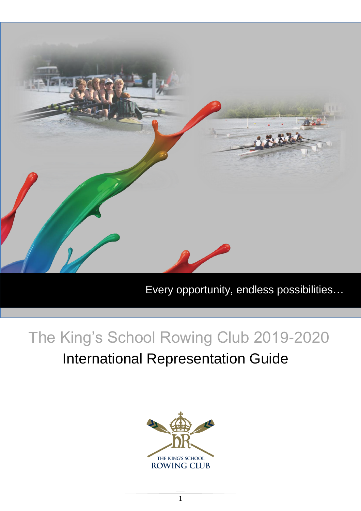

Every opportunity, endless possibilities…

# The King's School Rowing Club 2019-2020

# International Representation Guide

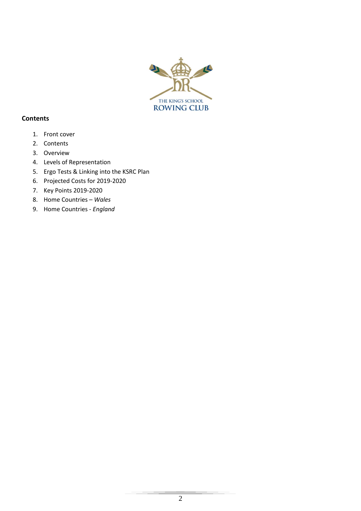

### **Contents**

- 1. Front cover
- 2. Contents
- 3. Overview
- 4. Levels of Representation
- 5. Ergo Tests & Linking into the KSRC Plan
- 6. Projected Costs for 2019-2020
- 7. Key Points 2019-2020
- 8. Home Countries *Wales*
- 9. Home Countries *England*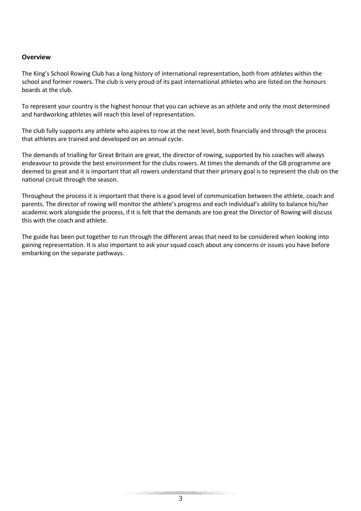#### **Overview**

The King's School Rowing Club has a long history of international representation, both from athletes within the school and former rowers. The club is very proud of its past international athletes who are listed on the honours boards at the club.

To represent your country is the highest honour that you can achieve as an athlete and only the most determined and hardworking athletes will reach this level of representation.

The club fully supports any athlete who aspires to row at the next level, both financially and through the process that athletes are trained and developed on an annual cycle.

The demands of trialling for Great Britain are great, the director of rowing, supported by his coaches will always endeavour to provide the best environment for the clubs rowers. At times the demands of the GB programme are deemed to great and it is important that all rowers understand that their primary goal is to represent the club on the national circuit through the season.

Throughout the process it is important that there is a good level of communication between the athlete, coach and parents. The director of rowing will monitor the athlete's progress and each individual's ability to balance his/her academic work alongside the process, if it is felt that the demands are too great the Director of Rowing will discuss this with the coach and athlete.

The guide has been put together to run through the different areas that need to be considered when looking into gaining representation. It is also important to ask your squad coach about any concerns or issues you have before embarking on the separate pathways.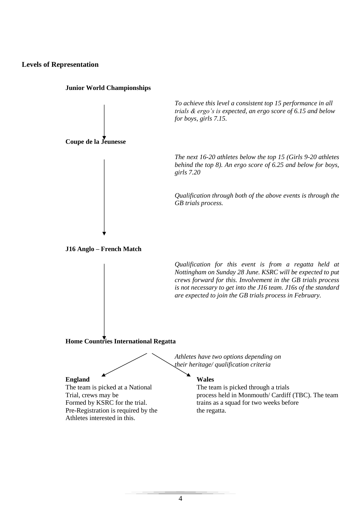#### **Levels of Representation**



**Junior World Championships**

*To achieve this level a consistent top 15 performance in all trials & ergo's is expected, an ergo score of 6.15 and below for boys, girls 7.15.*

*The next 16-20 athletes below the top 15 (Girls 9-20 athletes behind the top 8). An ergo score of 6.25 and below for boys, girls 7.20*

*Qualification through both of the above events is through the GB trials process.*

**J16 Anglo – French Match**

*Qualification for this event is from a regatta held at Nottingham on Sunday 28 June. KSRC will be expected to put crews forward for this. Involvement in the GB trials process is not necessary to get into the J16 team. J16s of the standard are expected to join the GB trials process in February.*

#### **Home Countries International Regatta**

*Athletes have two options depending on their heritage/ qualification criteria*

#### **England Wales**

The team is picked at a National The team is picked through a trials Pre-Registration is required by the the regatta. Athletes interested in this.

Trial, crews may be process held in Monmouth/ Cardiff (TBC). The team Formed by KSRC for the trial. trains as a squad for two weeks before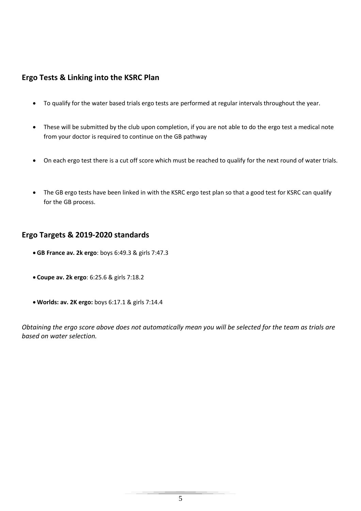# **Ergo Tests & Linking into the KSRC Plan**

- To qualify for the water based trials ergo tests are performed at regular intervals throughout the year.
- These will be submitted by the club upon completion, if you are not able to do the ergo test a medical note from your doctor is required to continue on the GB pathway
- On each ergo test there is a cut off score which must be reached to qualify for the next round of water trials.
- The GB ergo tests have been linked in with the KSRC ergo test plan so that a good test for KSRC can qualify for the GB process.

## **Ergo Targets & 2019-2020 standards**

- **GB France av. 2k ergo**: boys 6:49.3 & girls 7:47.3
- **Coupe av. 2k ergo**: 6:25.6 & girls 7:18.2
- **Worlds: av. 2K ergo:** boys 6:17.1 & girls 7:14.4

*Obtaining the ergo score above does not automatically mean you will be selected for the team as trials are based on water selection.*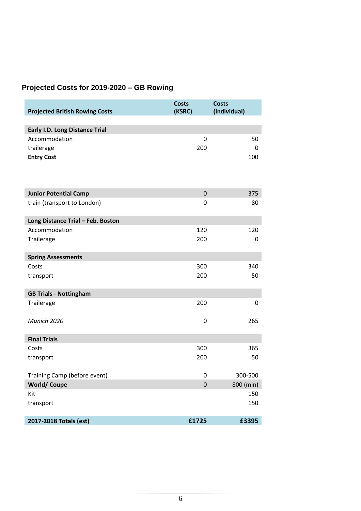# **Projected Costs for 2019-2020 – GB Rowing**

| <b>Projected British Rowing Costs</b> | <b>Costs</b><br>(KSRC) | <b>Costs</b><br>(individual) |
|---------------------------------------|------------------------|------------------------------|
| <b>Early I.D. Long Distance Trial</b> |                        |                              |
| Accommodation                         | 0                      | 50                           |
| trailerage                            | 200                    | 0                            |
| <b>Entry Cost</b>                     |                        | 100                          |
|                                       |                        |                              |
|                                       |                        |                              |
| <b>Junior Potential Camp</b>          | $\mathbf 0$            | 375                          |
| train (transport to London)           | 0                      | 80                           |
| Long Distance Trial - Feb. Boston     |                        |                              |
| Accommodation                         | 120                    | 120                          |
| Trailerage                            | 200                    | 0                            |
| <b>Spring Assessments</b>             |                        |                              |
| Costs                                 | 300                    | 340                          |
| transport                             | 200                    | 50                           |
|                                       |                        |                              |
| <b>GB Trials - Nottingham</b>         |                        |                              |
| Trailerage                            | 200                    | 0                            |
| Munich 2020                           | 0                      | 265                          |
|                                       |                        |                              |
| <b>Final Trials</b>                   |                        |                              |
| Costs                                 | 300                    | 365                          |
| transport                             | 200                    | 50                           |
| Training Camp (before event)          | 0                      | 300-500                      |
| <b>World/Coupe</b>                    | $\mathbf 0$            | 800 (min)                    |
| Kit                                   |                        | 150                          |
| transport                             |                        | 150                          |
| 2017-2018 Totals (est)                | £1725                  | £3395                        |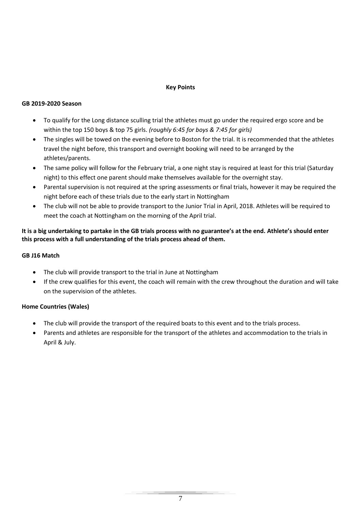#### **Key Points**

#### **GB 2019-2020 Season**

- To qualify for the Long distance sculling trial the athletes must go under the required ergo score and be within the top 150 boys & top 75 girls. *(roughly 6:45 for boys & 7:45 for girls)*
- The singles will be towed on the evening before to Boston for the trial. It is recommended that the athletes travel the night before, this transport and overnight booking will need to be arranged by the athletes/parents.
- The same policy will follow for the February trial, a one night stay is required at least for this trial (Saturday night) to this effect one parent should make themselves available for the overnight stay.
- Parental supervision is not required at the spring assessments or final trials, however it may be required the night before each of these trials due to the early start in Nottingham
- The club will not be able to provide transport to the Junior Trial in April, 2018. Athletes will be required to meet the coach at Nottingham on the morning of the April trial.

#### **It is a big undertaking to partake in the GB trials process with no guarantee's at the end. Athlete's should enter this process with a full understanding of the trials process ahead of them.**

#### **GB J16 Match**

- The club will provide transport to the trial in June at Nottingham
- If the crew qualifies for this event, the coach will remain with the crew throughout the duration and will take on the supervision of the athletes.

#### **Home Countries (Wales)**

- The club will provide the transport of the required boats to this event and to the trials process.
- Parents and athletes are responsible for the transport of the athletes and accommodation to the trials in April & July.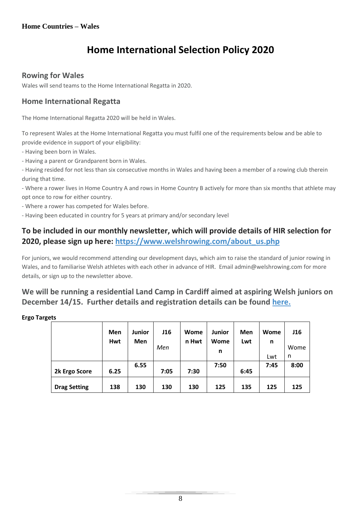# **Home International Selection Policy 2020**

### **Rowing for Wales**

Wales will send teams to the Home International Regatta in 2020.

# **Home International Regatta**

The Home International Regatta 2020 will be held in Wales.

To represent Wales at the Home International Regatta you must fulfil one of the requirements below and be able to provide evidence in support of your eligibility:

- Having been born in Wales.

- Having a parent or Grandparent born in Wales.

- Having resided for not less than six consecutive months in Wales and having been a member of a rowing club therein during that time.

- Where a rower lives in Home Country A and rows in Home Country B actively for more than six months that athlete may opt once to row for either country.

- Where a rower has competed for Wales before.

- Having been educated in country for 5 years at primary and/or secondary level

# **To be included in our monthly newsletter, which will provide details of HIR selection for 2020, please sign up here: [https://www.welshrowing.com/about\\_us.php](https://www.welshrowing.com/about_us.php)**

For juniors, we would recommend attending our development days, which aim to raise the standard of junior rowing in Wales, and to familiarise Welsh athletes with each other in advance of HIR. Email admin@welshrowing.com for more details, or sign up to the newsletter above.

# **We will be running a residential Land Camp in Cardiff aimed at aspiring Welsh juniors on December 14/15. Further details and registration details can be found [here.](https://www.welshrowing.com/boathouse/docs/96/2/WELSH%20ROWING%20JUNIOR%20LAND%20CAMP%202019%20INFO%20SHEET.pdf)**

#### **Ergo Targets**

|                     | Men<br>Hwt | <b>Junior</b><br>Men | <b>J16</b><br>Men | Wome<br>n Hwt | <b>Junior</b><br>Wome<br>n | Men<br>Lwt | Wome<br>n<br>Lwt | J16<br>Wome<br>n |
|---------------------|------------|----------------------|-------------------|---------------|----------------------------|------------|------------------|------------------|
| 2k Ergo Score       | 6.25       | 6.55                 | 7:05              | 7:30          | 7:50                       | 6:45       | 7:45             | 8:00             |
| <b>Drag Setting</b> | 138        | 130                  | 130               | 130           | 125                        | 135        | 125              | 125              |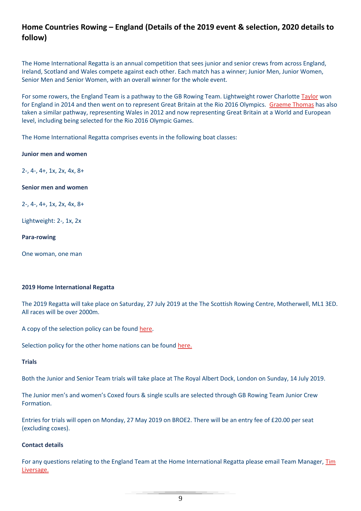# **Home Countries Rowing – England (Details of the 2019 event & selection, 2020 details to follow)**

The Home International Regatta is an annual competition that sees junior and senior crews from across England, Ireland, Scotland and Wales compete against each other. Each match has a winner; Junior Men, Junior Women, Senior Men and Senior Women, with an overall winner for the whole event.

For some rowers, the England Team is a pathway to the GB Rowing Team. Lightweight rower Charlotte [Taylor](https://www.britishrowing.org/athlete/harriet-taylor/) won for England in 2014 and then went on to represent Great Britain at the Rio 2016 Olympics. [Graeme Thomas](https://www.britishrowing.org/athlete/graeme-thomas/) has also taken a similar pathway, representing Wales in 2012 and now representing Great Britain at a World and European level, including being selected for the Rio 2016 Olympic Games.

The Home International Regatta comprises events in the following boat classes:

**Junior men and women**

2-, 4-, 4+, 1x, 2x, 4x, 8+

#### **Senior men and women**

2-, 4-, 4+, 1x, 2x, 4x, 8+

Lightweight: 2-, 1x, 2x

**Para-rowing**

One woman, one man

#### **2019 Home International Regatta**

The 2019 Regatta will take place on Saturday, 27 July 2019 at the The Scottish Rowing Centre, Motherwell, ML1 3ED. All races will be over 2000m.

A copy of the selection policy can be found [here.](https://www.britishrowing.org/wp-content/uploads/2019/02/England-Selection-Policy-2019-Final.pdf)

Selection policy for the other home nations can be found [here.](http://www.homeinternationalregatta.org/)

#### **Trials**

Both the Junior and Senior Team trials will take place at The Royal Albert Dock, London on Sunday, 14 July 2019.

The Junior men's and women's Coxed fours & single sculls are selected through GB Rowing Team Junior Crew Formation.

Entries for trials will open on Monday, 27 May 2019 on BROE2. There will be an entry fee of £20.00 per seat (excluding coxes).

#### **Contact details**

For any questions relating to the England Team at the Home International Regatta please email Team Manager, [Tim](mailto:englandtm@britishrowing.org)  [Liversage.](mailto:englandtm@britishrowing.org)